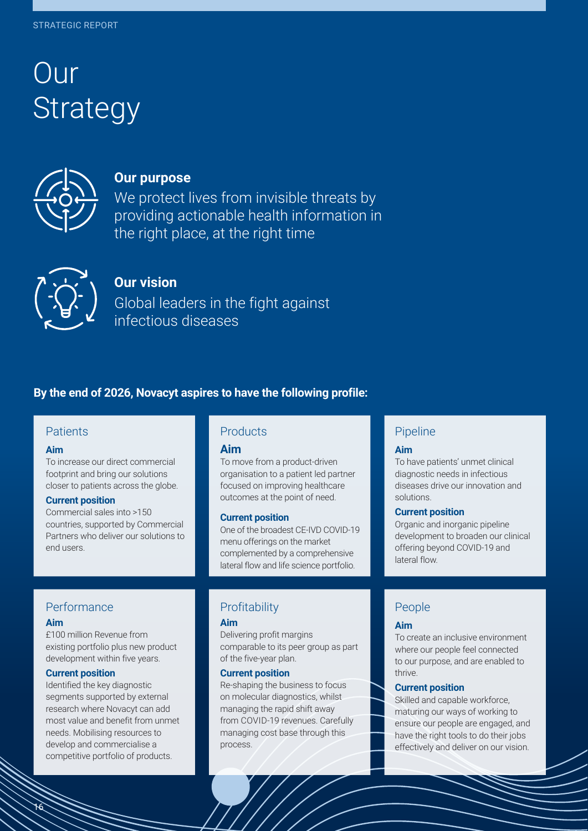# Our control of the control of the control of the control of the control of the control of the control of the control of the control of the control of the control of the control of the control of the control of the control Strategy



# **Our purpose**

We protect lives from invisible threats by providing actionable health information in the right place, at the right time



# **Our vision**

Global leaders in the fight against infectious diseases

# **By the end of 2026, Novacyt aspires to have the following profile:**

## **Patients**

## **Aim**

To increase our direct commercial footprint and bring our solutions closer to patients across the globe.

## **Current position**

Commercial sales into >150 countries, supported by Commercial Partners who deliver our solutions to end users.

# **Products**

## **Aim**

To move from a product-driven organisation to a patient led partner focused on improving healthcare outcomes at the point of need.

#### **Current position**

One of the broadest CE-IVD COVID-19 menu offerings on the market complemented by a comprehensive lateral flow and life science portfolio.

## Performance

## **Aim**

16

16

£100 million Revenue from existing portfolio plus new product development within five years.

#### **Current position**

Identified the key diagnostic segments supported by external research where Novacyt can add most value and benefit from unmet needs. Mobilising resources to develop and commercialise a competitive portfolio of products.

# **Profitability**

## **Aim**

Delivering profit margins comparable to its peer group as part of the five-year plan.

#### **Current position**

Re-shaping the business to focus on molecular diagnostics, whilst managing the rapid shift away from COVID-19 revenues. Carefully managing cost base through this process.

# Pipeline

#### **Aim**

To have patients' unmet clinical diagnostic needs in infectious diseases drive our innovation and solutions.

## **Current position**

Organic and inorganic pipeline development to broaden our clinical offering beyond COVID-19 and lateral flow.

# People

## **Aim**

To create an inclusive environment where our people feel connected to our purpose, and are enabled to thrive.

## **Current position**

Skilled and capable workforce, maturing our ways of working to ensure our people are engaged, and have the right tools to do their jobs effectively and deliver on our vision.